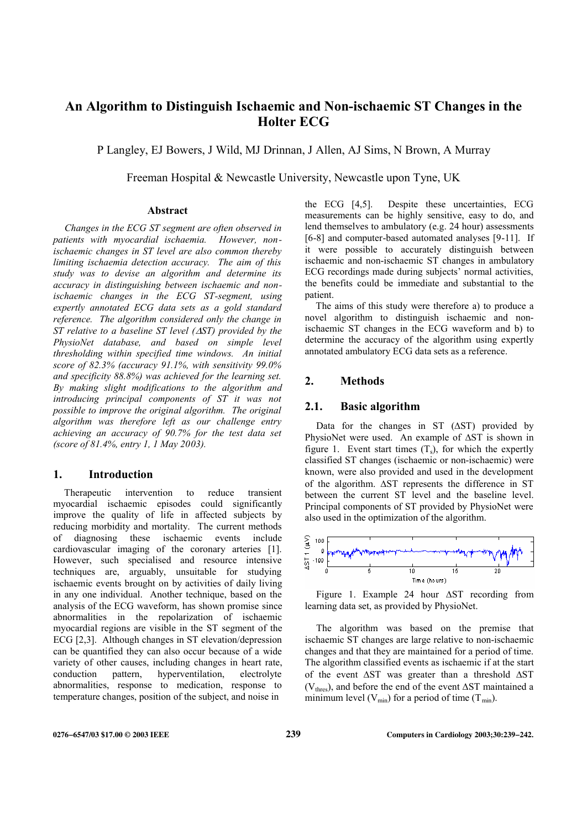# **An Algorithm to Distinguish Ischaemic and Non-ischaemic ST Changes in the Holter ECG**

P Langley, EJ Bowers, J Wild, MJ Drinnan, J Allen, AJ Sims, N Brown, A Murray

Freeman Hospital & Newcastle University, Newcastle upon Tyne, UK

#### **Abstract**

*Changes in the ECG ST segment are often observed in patients with myocardial ischaemia. However, nonischaemic changes in ST level are also common thereby limiting ischaemia detection accuracy. The aim of this study was to devise an algorithm and determine its accuracy in distinguishing between ischaemic and nonischaemic changes in the ECG ST-segment, using expertly annotated ECG data sets as a gold standard reference. The algorithm considered only the change in ST relative to a baseline ST level (* $\triangle$ *ST) provided by the PhysioNet database, and based on simple level thresholding within specified time windows. An initial score of 82.3% (accuracy 91.1%, with sensitivity 99.0% and specificity 88.8%) was achieved for the learning set. By making slight modifications to the algorithm and introducing principal components of ST it was not possible to improve the original algorithm. The original algorithm was therefore left as our challenge entry achieving an accuracy of 90.7% for the test data set (score of 81.4%, entry 1, 1 May 2003).* 

### **1. Introduction**

Therapeutic intervention to reduce transient myocardial ischaemic episodes could significantly improve the quality of life in affected subjects by reducing morbidity and mortality. The current methods of diagnosing these ischaemic events include cardiovascular imaging of the coronary arteries [1]. However, such specialised and resource intensive techniques are, arguably, unsuitable for studying ischaemic events brought on by activities of daily living in any one individual. Another technique, based on the analysis of the ECG waveform, has shown promise since abnormalities in the repolarization of ischaemic myocardial regions are visible in the ST segment of the ECG [2,3]. Although changes in ST elevation/depression can be quantified they can also occur because of a wide variety of other causes, including changes in heart rate, conduction pattern, hyperventilation, electrolyte abnormalities, response to medication, response to temperature changes, position of the subject, and noise in

the ECG [4,5]. Despite these uncertainties, ECG measurements can be highly sensitive, easy to do, and lend themselves to ambulatory (e.g. 24 hour) assessments [6-8] and computer-based automated analyses [9-11]. If it were possible to accurately distinguish between ischaemic and non-ischaemic ST changes in ambulatory ECG recordings made during subjects' normal activities, the benefits could be immediate and substantial to the patient.

The aims of this study were therefore a) to produce a novel algorithm to distinguish ischaemic and nonischaemic ST changes in the ECG waveform and b) to determine the accuracy of the algorithm using expertly annotated ambulatory ECG data sets as a reference.

# **2. Methods**

#### **2.1. Basic algorithm**

Data for the changes in ST  $(ΔST)$  provided by PhysioNet were used. An example of  $\Delta ST$  is shown in figure 1. Event start times  $(T_s)$ , for which the expertly classified ST changes (ischaemic or non-ischaemic) were known, were also provided and used in the development of the algorithm.  $\Delta ST$  represents the difference in ST between the current ST level and the baseline level. Principal components of ST provided by PhysioNet were also used in the optimization of the algorithm.



Figure 1. Example 24 hour  $\Delta ST$  recording from learning data set, as provided by PhysioNet.

The algorithm was based on the premise that ischaemic ST changes are large relative to non-ischaemic changes and that they are maintained for a period of time. The algorithm classified events as ischaemic if at the start of the event  $\Delta ST$  was greater than a threshold  $\Delta ST$  $(V<sub>thres</sub>)$ , and before the end of the event  $\Delta ST$  maintained a minimum level  $(V_{min})$  for a period of time  $(T_{min})$ .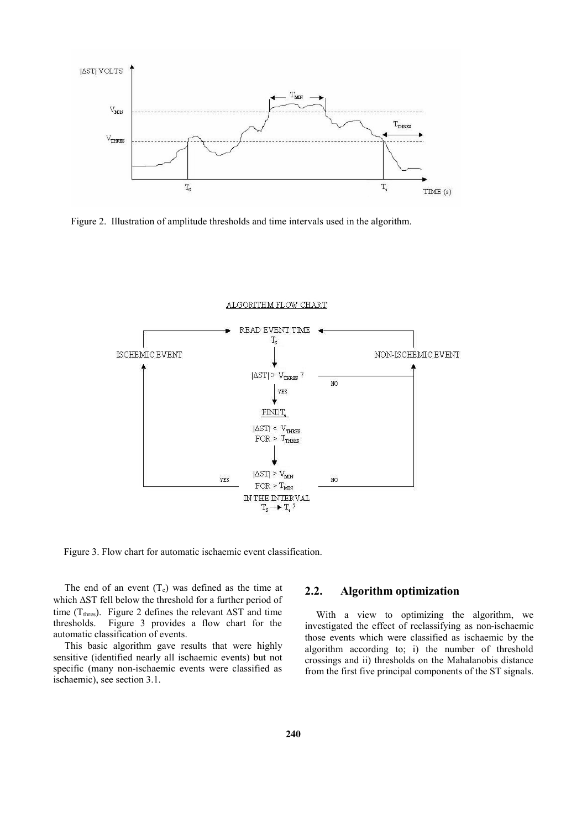

Figure 2. Illustration of amplitude thresholds and time intervals used in the algorithm.



Figure 3. Flow chart for automatic ischaemic event classification.

The end of an event  $(T_e)$  was defined as the time at which  $\Delta ST$  fell below the threshold for a further period of time (T<sub>thres</sub>). Figure 2 defines the relevant  $\Delta ST$  and time thresholds. Figure 3 provides a flow chart for the automatic classification of events.

This basic algorithm gave results that were highly sensitive (identified nearly all ischaemic events) but not specific (many non-ischaemic events were classified as ischaemic), see section 3.1.

# **2.2. Algorithm optimization**

With a view to optimizing the algorithm, we investigated the effect of reclassifying as non-ischaemic those events which were classified as ischaemic by the algorithm according to; i) the number of threshold crossings and ii) thresholds on the Mahalanobis distance from the first five principal components of the ST signals.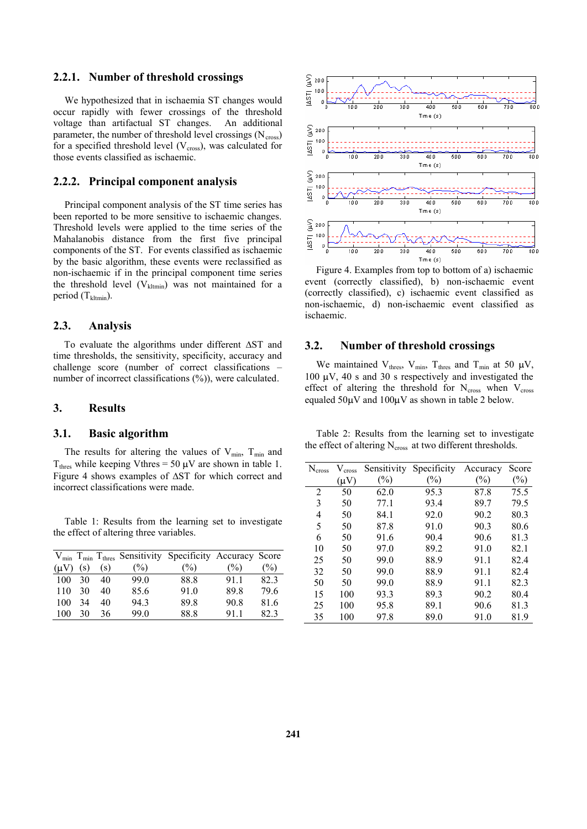### **2.2.1. Number of threshold crossings**

We hypothesized that in ischaemia ST changes would occur rapidly with fewer crossings of the threshold voltage than artifactual ST changes. An additional parameter, the number of threshold level crossings  $(N_{cross})$ for a specified threshold level  $(V_{cross})$ , was calculated for those events classified as ischaemic.

#### **2.2.2. Principal component analysis**

Principal component analysis of the ST time series has been reported to be more sensitive to ischaemic changes. Threshold levels were applied to the time series of the Mahalanobis distance from the first five principal components of the ST. For events classified as ischaemic by the basic algorithm, these events were reclassified as non-ischaemic if in the principal component time series the threshold level  $(V_{\text{kltmin}})$  was not maintained for a period  $(T_{\text{kltmin}})$ .

### **2.3. Analysis**

To evaluate the algorithms under different  $\Delta ST$  and time thresholds, the sensitivity, specificity, accuracy and challenge score (number of correct classifications  $$ number of incorrect classifications  $(\%)$ , were calculated.

# **3. Results**

#### **3.1. Basic algorithm**

The results for altering the values of  $V_{\text{min}}$ ,  $T_{\text{min}}$  and  $T_{\text{thres}}$  while keeping Vthres = 50  $\mu$ V are shown in table 1. Figure 4 shows examples of  $\Delta ST$  for which correct and incorrect classifications were made.

Table 1: Results from the learning set to investigate the effect of altering three variables.

|           |     |     |               | $V_{\text{min}}$ T <sub>min</sub> T <sub>thres</sub> Sensitivity Specificity Accuracy Score |      |      |
|-----------|-----|-----|---------------|---------------------------------------------------------------------------------------------|------|------|
| $(\mu V)$ | (s) | (s) | $\frac{6}{2}$ | $\frac{6}{2}$                                                                               | (%)  | (%)  |
| 100       | 30  | 40  | 99.0          | 88.8                                                                                        | 911  | 82.3 |
| 110       | 30  | 40  | 85.6          | 91.0                                                                                        | 89.8 | 79.6 |
| 100       | 34  | 40  | 94.3          | 89.8                                                                                        | 90.8 | 81.6 |
| 100       | 30  | 36  | 99.0          | 88.8                                                                                        | 911  | 823  |



Figure 4. Examples from top to bottom of a) ischaemic event (correctly classified), b) non-ischaemic event (correctly classified), c) ischaemic event classified as non-ischaemic, d) non-ischaemic event classified as ischaemic.

# **3.2. Number of threshold crossings**

We maintained  $V_{thres}$ ,  $V_{min}$ ,  $T_{thres}$  and  $T_{min}$  at 50  $\mu V$ , 100  $\mu$ V, 40 s and 30 s respectively and investigated the effect of altering the threshold for  $N_{cross}$  when  $V_{cross}$ equaled  $50 \mu V$  and  $100 \mu V$  as shown in table 2 below.

Table 2: Results from the learning set to investigate the effect of altering  $N_{cross}$  at two different thresholds.

| $N_{cross}$    | cross     | Sensitivity | Specificity    | Accuracy | Score |
|----------------|-----------|-------------|----------------|----------|-------|
|                | $(\mu V)$ | $(\%)$      | $\binom{0}{0}$ | $(\%)$   | (%)   |
| $\overline{2}$ | 50        | 62.0        | 95.3           | 87.8     | 75.5  |
| 3              | 50        | 77.1        | 93.4           | 89.7     | 79.5  |
| 4              | 50        | 84.1        | 92.0           | 90.2     | 80.3  |
| 5              | 50        | 87.8        | 91.0           | 90.3     | 80.6  |
| 6              | 50        | 91.6        | 90.4           | 90.6     | 81.3  |
| 10             | 50        | 97.0        | 89.2           | 91.0     | 82.1  |
| 25             | 50        | 99.0        | 88.9           | 91.1     | 82.4  |
| 32             | 50        | 99.0        | 88.9           | 91.1     | 82.4  |
| 50             | 50        | 99.0        | 88.9           | 91.1     | 82.3  |
| 15             | 100       | 93.3        | 89.3           | 90.2     | 80.4  |
| 25             | 100       | 95.8        | 89.1           | 90.6     | 81.3  |
| 35             | 100       | 97.8        | 89.0           | 91.0     | 81.9  |